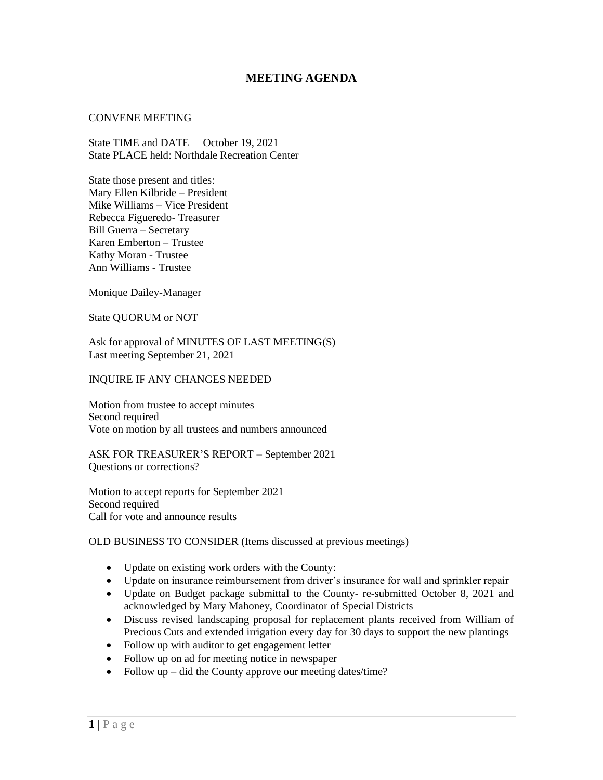# **MEETING AGENDA**

#### CONVENE MEETING

State TIME and DATE October 19, 2021 State PLACE held: Northdale Recreation Center

State those present and titles: Mary Ellen Kilbride – President Mike Williams – Vice President Rebecca Figueredo- Treasurer Bill Guerra – Secretary Karen Emberton – Trustee Kathy Moran - Trustee Ann Williams - Trustee

Monique Dailey-Manager

State QUORUM or NOT

Ask for approval of MINUTES OF LAST MEETING(S) Last meeting September 21, 2021

#### INQUIRE IF ANY CHANGES NEEDED

Motion from trustee to accept minutes Second required Vote on motion by all trustees and numbers announced

ASK FOR TREASURER'S REPORT – September 2021 Questions or corrections?

Motion to accept reports for September 2021 Second required Call for vote and announce results

### OLD BUSINESS TO CONSIDER (Items discussed at previous meetings)

- Update on existing work orders with the County:
- Update on insurance reimbursement from driver's insurance for wall and sprinkler repair
- Update on Budget package submittal to the County- re-submitted October 8, 2021 and acknowledged by Mary Mahoney, Coordinator of Special Districts
- Discuss revised landscaping proposal for replacement plants received from William of Precious Cuts and extended irrigation every day for 30 days to support the new plantings
- Follow up with auditor to get engagement letter
- Follow up on ad for meeting notice in newspaper
- Follow up did the County approve our meeting dates/time?